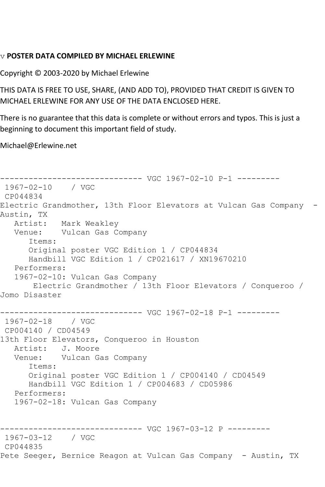## v **POSTER DATA COMPILED BY MICHAEL ERLEWINE**

Copyright © 2003-2020 by Michael Erlewine

THIS DATA IS FREE TO USE, SHARE, (AND ADD TO), PROVIDED THAT CREDIT IS GIVEN TO MICHAEL ERLEWINE FOR ANY USE OF THE DATA ENCLOSED HERE.

There is no guarantee that this data is complete or without errors and typos. This is just a beginning to document this important field of study.

Michael@Erlewine.net

------------------------------ VGC 1967-02-10 P-1 --------- 1967-02-10 / VGC CP044834 Electric Grandmother, 13th Floor Elevators at Vulcan Gas Company - Austin, TX Artist: Mark Weakley Venue: Vulcan Gas Company Items: Original poster VGC Edition 1 / CP044834 Handbill VGC Edition 1 / CP021617 / XN19670210 Performers: 1967-02-10: Vulcan Gas Company Electric Grandmother / 13th Floor Elevators / Conqueroo / Jomo Disaster ------------------------------ VGC 1967-02-18 P-1 --------- 1967-02-18 / VGC CP004140 / CD04549 13th Floor Elevators, Conqueroo in Houston Artist: J. Moore<br>Venue: Vulcan Ga Vulcan Gas Company Items: Original poster VGC Edition 1 / CP004140 / CD04549 Handbill VGC Edition 1 / CP004683 / CD05986 Performers: 1967-02-18: Vulcan Gas Company ------------------------------ VGC 1967-03-12 P --------- 1967-03-12 / VGC CP044835 Pete Seeger, Bernice Reagon at Vulcan Gas Company - Austin, TX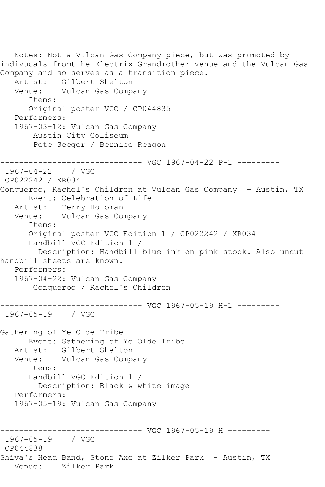Notes: Not a Vulcan Gas Company piece, but was promoted by indivudals fromt he Electrix Grandmother venue and the Vulcan Gas Company and so serves as a transition piece. Artist: Gilbert Shelton<br>Venue: Vulcan Gas Comp Vulcan Gas Company Items: Original poster VGC / CP044835 Performers: 1967-03-12: Vulcan Gas Company Austin City Coliseum Pete Seeger / Bernice Reagon ------------------------------ VGC 1967-04-22 P-1 --------- 1967-04-22 / VGC CP022242 / XR034 Conqueroo, Rachel's Children at Vulcan Gas Company - Austin, TX Event: Celebration of Life Artist: Terry Holoman Venue: Vulcan Gas Company Items: Original poster VGC Edition 1 / CP022242 / XR034 Handbill VGC Edition 1 / Description: Handbill blue ink on pink stock. Also uncut handbill sheets are known. Performers: 1967-04-22: Vulcan Gas Company Conqueroo / Rachel's Children ---------- VGC 1967-05-19 H-1 ---------1967-05-19 / VGC Gathering of Ye Olde Tribe Event: Gathering of Ye Olde Tribe Artist: Gilbert Shelton Venue: Vulcan Gas Company Items: Handbill VGC Edition 1 / Description: Black & white image Performers: 1967-05-19: Vulcan Gas Company ------------------------------ VGC 1967-05-19 H --------- 1967-05-19 / VGC CP044838 Shiva's Head Band, Stone Axe at Zilker Park - Austin, TX Venue: Zilker Park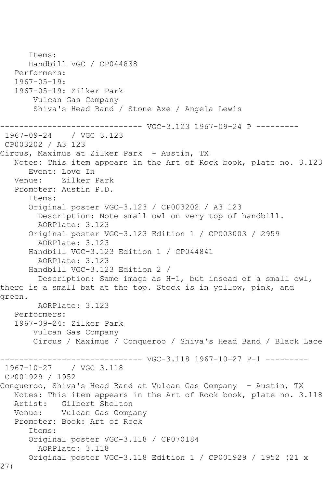Items: Handbill VGC / CP044838 Performers: 1967-05-19: 1967-05-19: Zilker Park Vulcan Gas Company Shiva's Head Band / Stone Axe / Angela Lewis --------- VGC-3.123 1967-09-24 P ---------1967-09-24 / VGC 3.123 CP003202 / A3 123 Circus, Maximus at Zilker Park - Austin, TX Notes: This item appears in the Art of Rock book, plate no. 3.123 Event: Love In Venue: Zilker Park Promoter: Austin P.D. Items: Original poster VGC-3.123 / CP003202 / A3 123 Description: Note small owl on very top of handbill. AORPlate: 3.123 Original poster VGC-3.123 Edition 1 / CP003003 / 2959 AORPlate: 3.123 Handbill VGC-3.123 Edition 1 / CP044841 AORPlate: 3.123 Handbill VGC-3.123 Edition 2 / Description: Same image as H-1, but insead of a small owl, there is a small bat at the top. Stock is in yellow, pink, and green. AORPlate: 3.123 Performers: 1967-09-24: Zilker Park Vulcan Gas Company Circus / Maximus / Conqueroo / Shiva's Head Band / Black Lace ----- VGC-3.118 1967-10-27 P-1 ---------1967-10-27 / VGC 3.118 CP001929 / 1952 Conqueroo, Shiva's Head Band at Vulcan Gas Company - Austin, TX Notes: This item appears in the Art of Rock book, plate no. 3.118 Artist: Gilbert Shelton Venue: Vulcan Gas Company Promoter: Book: Art of Rock Items: Original poster VGC-3.118 / CP070184 AORPlate: 3.118 Original poster VGC-3.118 Edition 1 / CP001929 / 1952 (21 x 27)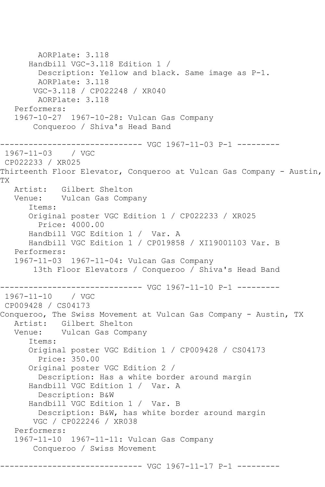AORPlate: 3.118 Handbill VGC-3.118 Edition 1 / Description: Yellow and black. Same image as P-1. AORPlate: 3.118 VGC-3.118 / CP022248 / XR040 AORPlate: 3.118 Performers: 1967-10-27 1967-10-28: Vulcan Gas Company Conqueroo / Shiva's Head Band ------------------------------ VGC 1967-11-03 P-1 --------- 1967-11-03 / VGC CP022233 / XR025 Thirteenth Floor Elevator, Conqueroo at Vulcan Gas Company - Austin, TX Artist: Gilbert Shelton Venue: Vulcan Gas Company Items: Original poster VGC Edition 1 / CP022233 / XR025 Price: 4000.00 Handbill VGC Edition 1 / Var. A Handbill VGC Edition 1 / CP019858 / XI19001103 Var. B Performers: 1967-11-03 1967-11-04: Vulcan Gas Company 13th Floor Elevators / Conqueroo / Shiva's Head Band ------------------------------ VGC 1967-11-10 P-1 --------- 1967-11-10 / VGC CP009428 / CS04173 Conqueroo, The Swiss Movement at Vulcan Gas Company - Austin, TX Artist: Gilbert Shelton Venue: Vulcan Gas Company Items: Original poster VGC Edition 1 / CP009428 / CS04173 Price: 350.00 Original poster VGC Edition 2 / Description: Has a white border around margin Handbill VGC Edition 1 / Var. A Description: B&W Handbill VGC Edition 1 / Var. B Description: B&W, has white border around margin VGC / CP022246 / XR038 Performers: 1967-11-10 1967-11-11: Vulcan Gas Company Conqueroo / Swiss Movement ------------------------------ VGC 1967-11-17 P-1 ---------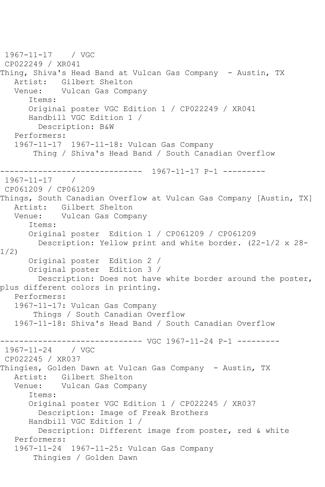```
1967-11-17 / VGC 
CP022249 / XR041
Thing, Shiva's Head Band at Vulcan Gas Company - Austin, TX
  Artist: Gilbert Shelton<br>Venue: Vulcan Gas Comp.
            Vulcan Gas Company
       Items:
      Original poster VGC Edition 1 / CP022249 / XR041
      Handbill VGC Edition 1 / 
         Description: B&W
   Performers:
   1967-11-17 1967-11-18: Vulcan Gas Company
        Thing / Shiva's Head Band / South Canadian Overflow
------------------------------ 1967-11-17 P-1 ---------
1967-11-17 / 
CP061209 / CP061209
Things, South Canadian Overflow at Vulcan Gas Company [Austin, TX]
   Artist: Gilbert Shelton
   Venue: Vulcan Gas Company
      Items:
       Original poster Edition 1 / CP061209 / CP061209
         Description: Yellow print and white border. (22-1/2 x 28-
1/2)
      Original poster Edition 2 / 
      Original poster Edition 3 / 
         Description: Does not have white border around the poster, 
plus different colors in printing.
   Performers:
   1967-11-17: Vulcan Gas Company
        Things / South Canadian Overflow
   1967-11-18: Shiva's Head Band / South Canadian Overflow
------------------------------ VGC 1967-11-24 P-1 ---------
1967 - 11 - 24CP022245 / XR037
Thingies, Golden Dawn at Vulcan Gas Company - Austin, TX
   Artist: Gilbert Shelton
   Venue: Vulcan Gas Company
       Items:
       Original poster VGC Edition 1 / CP022245 / XR037
         Description: Image of Freak Brothers
       Handbill VGC Edition 1 / 
         Description: Different image from poster, red & white
   Performers:
   1967-11-24 1967-11-25: Vulcan Gas Company
        Thingies / Golden Dawn
```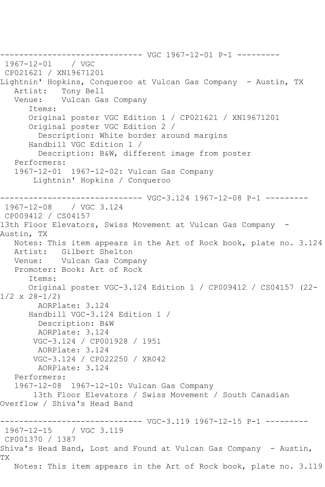------------------------------ VGC 1967-12-01 P-1 --------- 1967-12-01 CP021621 / XN19671201 Lightnin' Hopkins, Conqueroo at Vulcan Gas Company - Austin, TX Artist: Tony Bell<br>Venue: Vulcan Ga Vulcan Gas Company Items: Original poster VGC Edition 1 / CP021621 / XN19671201 Original poster VGC Edition 2 / Description: White border around margins Handbill VGC Edition 1 / Description: B&W, different image from poster Performers: 1967-12-01 1967-12-02: Vulcan Gas Company Lightnin' Hopkins / Conqueroo ------------------------------ VGC-3.124 1967-12-08 P-1 --------- / VGC 3.124 CP009412 / CS04157 13th Floor Elevators, Swiss Movement at Vulcan Gas Company -Austin, TX Notes: This item appears in the Art of Rock book, plate no. 3.124 Artist: Gilbert Shelton Venue: Vulcan Gas Company Promoter: Book: Art of Rock Items: Original poster VGC-3.124 Edition 1 / CP009412 / CS04157 (22- 1/2 x 28-1/2) AORPlate: 3.124 Handbill VGC-3.124 Edition 1 / Description: B&W AORPlate: 3.124 VGC-3.124 / CP001928 / 1951 AORPlate: 3.124 VGC-3.124 / CP022250 / XR042 AORPlate: 3.124 Performers: 1967-12-08 1967-12-10: Vulcan Gas Company 13th Floor Elevators / Swiss Movement / South Canadian Overflow / Shiva's Head Band ------------------------------ VGC-3.119 1967-12-15 P-1 --------- 1967-12-15 / VGC 3.119 CP001370 / 1387 Shiva's Head Band, Lost and Found at Vulcan Gas Company - Austin, TX Notes: This item appears in the Art of Rock book, plate no. 3.119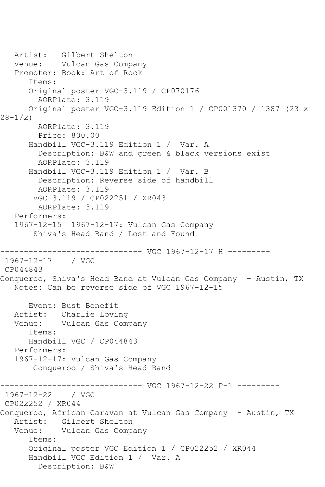Artist: Gilbert Shelton Venue: Vulcan Gas Company Promoter: Book: Art of Rock Items: Original poster VGC-3.119 / CP070176 AORPlate: 3.119 Original poster VGC-3.119 Edition 1 / CP001370 / 1387 (23 x 28-1/2) AORPlate: 3.119 Price: 800.00 Handbill VGC-3.119 Edition 1 / Var. A Description: B&W and green & black versions exist AORPlate: 3.119 Handbill VGC-3.119 Edition 1 / Var. B Description: Reverse side of handbill AORPlate: 3.119 VGC-3.119 / CP022251 / XR043 AORPlate: 3.119 Performers: 1967-12-15 1967-12-17: Vulcan Gas Company Shiva's Head Band / Lost and Found ------------------------------ VGC 1967-12-17 H --------- 1967-12-17 / VGC CP044843 Conqueroo, Shiva's Head Band at Vulcan Gas Company - Austin, TX Notes: Can be reverse side of VGC 1967-12-15 Event: Bust Benefit Artist: Charlie Loving Venue: Vulcan Gas Company Items: Handbill VGC / CP044843 Performers: 1967-12-17: Vulcan Gas Company Conqueroo / Shiva's Head Band ------------------------------ VGC 1967-12-22 P-1 --------- 1967-12-22 CP022252 / XR044 Conqueroo, African Caravan at Vulcan Gas Company - Austin, TX Artist: Gilbert Shelton Venue: Vulcan Gas Company Items: Original poster VGC Edition 1 / CP022252 / XR044 Handbill VGC Edition 1 / Var. A Description: B&W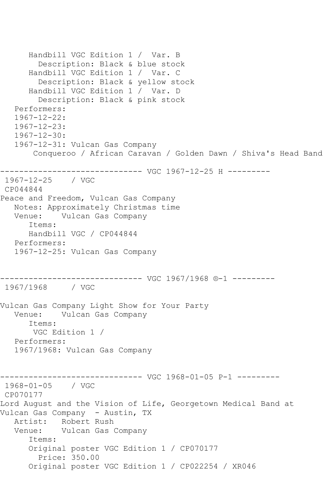```
 Handbill VGC Edition 1 / Var. B
         Description: Black & blue stock
       Handbill VGC Edition 1 / Var. C
         Description: Black & yellow stock
       Handbill VGC Edition 1 / Var. D
         Description: Black & pink stock
   Performers:
   1967-12-22:
   1967-12-23:
   1967-12-30:
   1967-12-31: Vulcan Gas Company
       Conqueroo / African Caravan / Golden Dawn / Shiva's Head Band
------------------------------ VGC 1967-12-25 H ---------
1967-12-25 / VGC 
CP044844
Peace and Freedom, Vulcan Gas Company
   Notes: Approximately Christmas time
           Vulcan Gas Company
      Items:
      Handbill VGC / CP044844
   Performers:
   1967-12-25: Vulcan Gas Company
------------------------------ VGC 1967/1968 ®-1 ---------
1967/1968 / VGC 
Vulcan Gas Company Light Show for Your Party
   Venue: Vulcan Gas Company
       Items:
       VGC Edition 1 / 
   Performers:
   1967/1968: Vulcan Gas Company
------------------------------ VGC 1968-01-05 P-1 ---------
1968-01-05 / VGC 
CP070177
Lord August and the Vision of Life, Georgetown Medical Band at 
Vulcan Gas Company - Austin, TX
   Artist: Robert Rush
   Venue: Vulcan Gas Company
       Items:
      Original poster VGC Edition 1 / CP070177
         Price: 350.00
       Original poster VGC Edition 1 / CP022254 / XR046
```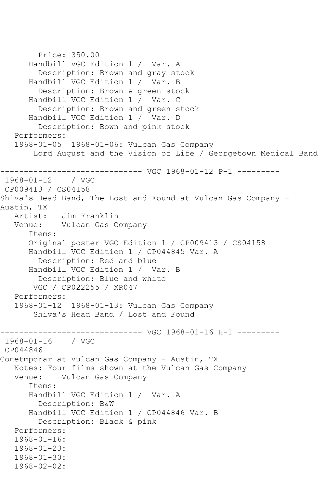```
 Price: 350.00
       Handbill VGC Edition 1 / Var. A
         Description: Brown and gray stock
       Handbill VGC Edition 1 / Var. B
         Description: Brown & green stock
       Handbill VGC Edition 1 / Var. C
         Description: Brown and green stock
       Handbill VGC Edition 1 / Var. D
         Description: Bown and pink stock
    Performers:
    1968-01-05 1968-01-06: Vulcan Gas Company
        Lord August and the Vision of Life / Georgetown Medical Band
------------------------------ VGC 1968-01-12 P-1 ---------
1968 - 01 - 12CP009413 / CS04158
Shiva's Head Band, The Lost and Found at Vulcan Gas Company -
Austin, TX<br>:Artist
             Jim Franklin
   Venue: Vulcan Gas Company
       Items:
       Original poster VGC Edition 1 / CP009413 / CS04158
       Handbill VGC Edition 1 / CP044845 Var. A
         Description: Red and blue
       Handbill VGC Edition 1 / Var. B
         Description: Blue and white
        VGC / CP022255 / XR047
   Performers:
    1968-01-12 1968-01-13: Vulcan Gas Company
        Shiva's Head Band / Lost and Found
         ------------------------------ VGC 1968-01-16 H-1 ---------
1968-01-16 / VGC 
CP044846
Conetmporar at Vulcan Gas Company - Austin, TX
   Notes: Four films shown at the Vulcan Gas Company
           Vulcan Gas Company
       Items:
       Handbill VGC Edition 1 / Var. A
         Description: B&W
       Handbill VGC Edition 1 / CP044846 Var. B
         Description: Black & pink
   Performers:
    1968-01-16:
    1968-01-23:
    1968-01-30:
   1968-02-02:
```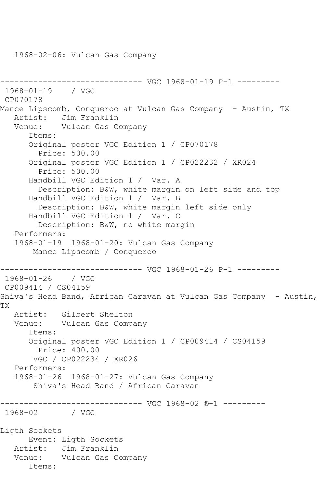```
------------------------------ VGC 1968-01-19 P-1 ---------
1968-01-19 / VGC 
CP070178
Mance Lipscomb, Conqueroo at Vulcan Gas Company - Austin, TX
   Artist: Jim Franklin
   Venue: Vulcan Gas Company
      Items:
      Original poster VGC Edition 1 / CP070178
         Price: 500.00
      Original poster VGC Edition 1 / CP022232 / XR024
         Price: 500.00
      Handbill VGC Edition 1 / Var. A
         Description: B&W, white margin on left side and top
      Handbill VGC Edition 1 / Var. B
         Description: B&W, white margin left side only
      Handbill VGC Edition 1 / Var. C
         Description: B&W, no white margin
   Performers:
   1968-01-19 1968-01-20: Vulcan Gas Company
       Mance Lipscomb / Conqueroo
                    ---------- VGC 1968-01-26 P-1 ---------
1968-01-26 / VGC 
CP009414 / CS04159
Shiva's Head Band, African Caravan at Vulcan Gas Company - Austin, 
TX
   Artist: Gilbert Shelton
   Venue: Vulcan Gas Company
      Items:
      Original poster VGC Edition 1 / CP009414 / CS04159
         Price: 400.00
       VGC / CP022234 / XR026
   Performers:
   1968-01-26 1968-01-27: Vulcan Gas Company
        Shiva's Head Band / African Caravan
------------------------------ VGC 1968-02 ®-1 ---------
1968-02 / VGC 
Ligth Sockets
      Event: Ligth Sockets
   Artist: Jim Franklin
   Venue: Vulcan Gas Company
      Items:
```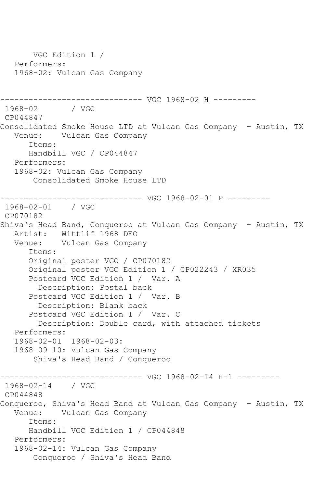VGC Edition 1 / Performers: 1968-02: Vulcan Gas Company ------------------------------ VGC 1968-02 H ---------  $1968 - 02$ CP044847 Consolidated Smoke House LTD at Vulcan Gas Company - Austin, TX Venue: Vulcan Gas Company Items: Handbill VGC / CP044847 Performers: 1968-02: Vulcan Gas Company Consolidated Smoke House LTD ------------------------------ VGC 1968-02-01 P --------- 1968-02-01 / VGC CP070182 Shiva's Head Band, Conqueroo at Vulcan Gas Company - Austin, TX Artist: Wittlif 1968 DEO Venue: Vulcan Gas Company Items: Original poster VGC / CP070182 Original poster VGC Edition 1 / CP022243 / XR035 Postcard VGC Edition 1 / Var. A Description: Postal back Postcard VGC Edition 1 / Var. B Description: Blank back Postcard VGC Edition 1 / Var. C Description: Double card, with attached tickets Performers: 1968-02-01 1968-02-03: 1968-09-10: Vulcan Gas Company Shiva's Head Band / Conqueroo ------------------------------ VGC 1968-02-14 H-1 --------- 1968-02-14 / VGC CP044848 Conqueroo, Shiva's Head Band at Vulcan Gas Company - Austin, TX Venue: Vulcan Gas Company Items: Handbill VGC Edition 1 / CP044848 Performers: 1968-02-14: Vulcan Gas Company Conqueroo / Shiva's Head Band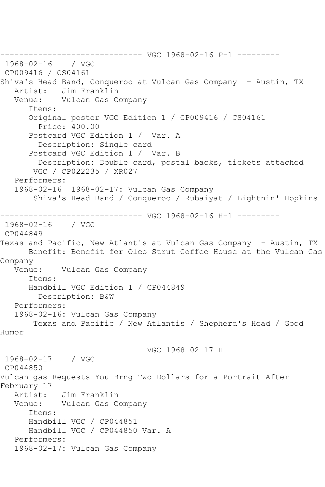------------------------------ VGC 1968-02-16 P-1 ---------  $1968 - 02 - 16$ CP009416 / CS04161 Shiva's Head Band, Conqueroo at Vulcan Gas Company - Austin, TX Artist: Jim Franklin Venue: Vulcan Gas Company Items: Original poster VGC Edition 1 / CP009416 / CS04161 Price: 400.00 Postcard VGC Edition 1 / Var. A Description: Single card Postcard VGC Edition 1 / Var. B Description: Double card, postal backs, tickets attached VGC / CP022235 / XR027 Performers: 1968-02-16 1968-02-17: Vulcan Gas Company Shiva's Head Band / Conqueroo / Rubaiyat / Lightnin' Hopkins ------------------------------ VGC 1968-02-16 H-1 --------- 1968-02-16 / VGC CP044849 Texas and Pacific, New Atlantis at Vulcan Gas Company - Austin, TX Benefit: Benefit for Oleo Strut Coffee House at the Vulcan Gas Company<br>Venue: Vulcan Gas Company Items: Handbill VGC Edition 1 / CP044849 Description: B&W Performers: 1968-02-16: Vulcan Gas Company Texas and Pacific / New Atlantis / Shepherd's Head / Good Humor ------------------------------ VGC 1968-02-17 H --------- 1968-02-17 / VGC CP044850 Vulcan gas Requests You Brng Two Dollars for a Portrait After February 17 Artist: Jim Franklin<br>Venue: Vulcan Gas Co Vulcan Gas Company Items: Handbill VGC / CP044851 Handbill VGC / CP044850 Var. A Performers: 1968-02-17: Vulcan Gas Company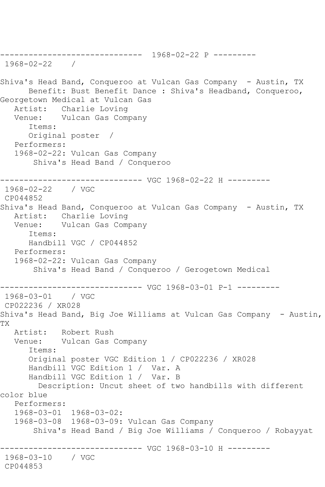------------------------------ 1968-02-22 P --------- 1968-02-22 / Shiva's Head Band, Conqueroo at Vulcan Gas Company - Austin, TX Benefit: Bust Benefit Dance : Shiva's Headband, Conqueroo, Georgetown Medical at Vulcan Gas Artist: Charlie Loving Venue: Vulcan Gas Company Items: Original poster / Performers: 1968-02-22: Vulcan Gas Company Shiva's Head Band / Conqueroo ------------------------------ VGC 1968-02-22 H --------- 1968-02-22 / VGC CP044852 Shiva's Head Band, Conqueroo at Vulcan Gas Company - Austin, TX<br>Artist: Charlie Loving Charlie Loving Venue: Vulcan Gas Company Items: Handbill VGC / CP044852 Performers: 1968-02-22: Vulcan Gas Company Shiva's Head Band / Conqueroo / Gerogetown Medical ------------------------------ VGC 1968-03-01 P-1 --------- 1968-03-01 / VGC CP022236 / XR028 Shiva's Head Band, Big Joe Williams at Vulcan Gas Company - Austin, TX Artist: Robert Rush Venue: Vulcan Gas Company Items: Original poster VGC Edition 1 / CP022236 / XR028 Handbill VGC Edition 1 / Var. A Handbill VGC Edition 1 / Var. B Description: Uncut sheet of two handbills with different color blue Performers: 1968-03-01 1968-03-02: 1968-03-08 1968-03-09: Vulcan Gas Company Shiva's Head Band / Big Joe Williams / Conqueroo / Robayyat -------------- VGC 1968-03-10 H ---------1968-03-10 / VGC CP044853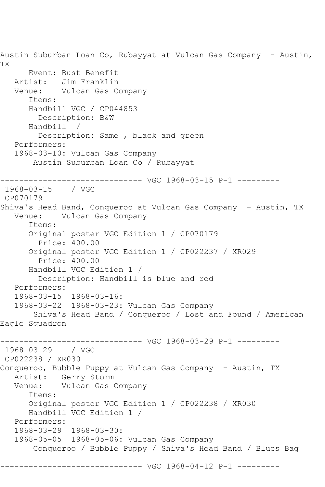Austin Suburban Loan Co, Rubayyat at Vulcan Gas Company - Austin, TX Event: Bust Benefit Artist: Jim Franklin<br>Venue: Vulcan Gas C Vulcan Gas Company Items: Handbill VGC / CP044853 Description: B&W Handbill / Description: Same , black and green Performers: 1968-03-10: Vulcan Gas Company Austin Suburban Loan Co / Rubayyat ------------------------------ VGC 1968-03-15 P-1 --------- 1968-03-15 / VGC CP070179 Shiva's Head Band, Conqueroo at Vulcan Gas Company - Austin, TX<br>Venue: Vulcan Gas Company Vulcan Gas Company Items: Original poster VGC Edition 1 / CP070179 Price: 400.00 Original poster VGC Edition 1 / CP022237 / XR029 Price: 400.00 Handbill VGC Edition 1 / Description: Handbill is blue and red Performers: 1968-03-15 1968-03-16: 1968-03-22 1968-03-23: Vulcan Gas Company Shiva's Head Band / Conqueroo / Lost and Found / American Eagle Squadron ------------------------------ VGC 1968-03-29 P-1 --------- 1968-03-29 / VGC CP022238 / XR030 Conqueroo, Bubble Puppy at Vulcan Gas Company - Austin, TX Artist: Gerry Storm Venue: Vulcan Gas Company Items: Original poster VGC Edition 1 / CP022238 / XR030 Handbill VGC Edition 1 / Performers: 1968-03-29 1968-03-30: 1968-05-05 1968-05-06: Vulcan Gas Company Conqueroo / Bubble Puppy / Shiva's Head Band / Blues Bag ------------------------------ VGC 1968-04-12 P-1 ---------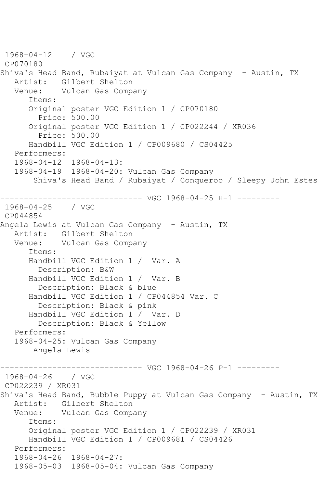1968-04-12 / VGC CP070180 Shiva's Head Band, Rubaiyat at Vulcan Gas Company - Austin, TX Artist: Gilbert Shelton<br>Venue: Vulcan Gas Comp Vulcan Gas Company Items: Original poster VGC Edition 1 / CP070180 Price: 500.00 Original poster VGC Edition 1 / CP022244 / XR036 Price: 500.00 Handbill VGC Edition 1 / CP009680 / CS04425 Performers: 1968-04-12 1968-04-13: 1968-04-19 1968-04-20: Vulcan Gas Company Shiva's Head Band / Rubaiyat / Conqueroo / Sleepy John Estes ------------------------------ VGC 1968-04-25 H-1 --------- 1968-04-25 / VGC CP044854 Angela Lewis at Vulcan Gas Company - Austin, TX Artist: Gilbert Shelton Venue: Vulcan Gas Company Items: Handbill VGC Edition 1 / Var. A Description: B&W Handbill VGC Edition 1 / Var. B Description: Black & blue Handbill VGC Edition 1 / CP044854 Var. C Description: Black & pink Handbill VGC Edition 1 / Var. D Description: Black & Yellow Performers: 1968-04-25: Vulcan Gas Company Angela Lewis ------------------------------ VGC 1968-04-26 P-1 --------- 1968-04-26 / VGC CP022239 / XR031 Shiva's Head Band, Bubble Puppy at Vulcan Gas Company - Austin, TX Artist: Gilbert Shelton Venue: Vulcan Gas Company Items: Original poster VGC Edition 1 / CP022239 / XR031 Handbill VGC Edition 1 / CP009681 / CS04426 Performers: 1968-04-26 1968-04-27: 1968-05-03 1968-05-04: Vulcan Gas Company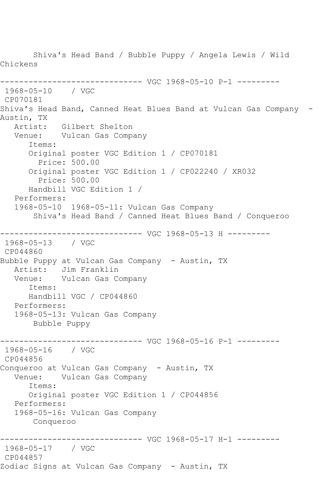Shiva's Head Band / Bubble Puppy / Angela Lewis / Wild Chickens ------------------------------ VGC 1968-05-10 P-1 --------- 1968-05-10 / VGC CP070181 Shiva's Head Band, Canned Heat Blues Band at Vulcan Gas Company - Austin, TX Artist: Gilbert Shelton Venue: Vulcan Gas Company Items: Original poster VGC Edition 1 / CP070181 Price: 500.00 Original poster VGC Edition 1 / CP022240 / XR032 Price: 500.00 Handbill VGC Edition 1 / Performers: 1968-05-10 1968-05-11: Vulcan Gas Company Shiva's Head Band / Canned Heat Blues Band / Conqueroo ------------------------------ VGC 1968-05-13 H --------- 1968-05-13 / VGC CP044860 Bubble Puppy at Vulcan Gas Company - Austin, TX Artist: Jim Franklin Venue: Vulcan Gas Company Items: Handbill VGC / CP044860 Performers: 1968-05-13: Vulcan Gas Company Bubble Puppy ------------------------------ VGC 1968-05-16 P-1 --------- 1968-05-16 / VGC CP044856 Conqueroo at Vulcan Gas Company – Austin, TX<br>Venue: Vulcan Gas Company Vulcan Gas Company Items: Original poster VGC Edition 1 / CP044856 Performers: 1968-05-16: Vulcan Gas Company Conqueroo ------------------------------ VGC 1968-05-17 H-1 --------- 1968-05-17 / VGC CP044857 Zodiac Signs at Vulcan Gas Company - Austin, TX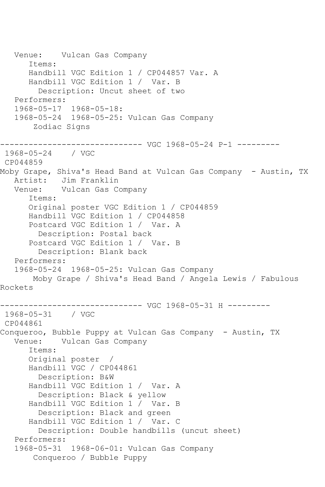Venue: Vulcan Gas Company Items: Handbill VGC Edition 1 / CP044857 Var. A Handbill VGC Edition 1 / Var. B Description: Uncut sheet of two Performers: 1968-05-17 1968-05-18: 1968-05-24 1968-05-25: Vulcan Gas Company Zodiac Signs ------------------------------ VGC 1968-05-24 P-1 --------- 1968-05-24 / VGC CP044859 Moby Grape, Shiva's Head Band at Vulcan Gas Company - Austin, TX Artist: Jim Franklin Venue: Vulcan Gas Company Items: Original poster VGC Edition 1 / CP044859 Handbill VGC Edition 1 / CP044858 Postcard VGC Edition 1 / Var. A Description: Postal back Postcard VGC Edition 1 / Var. B Description: Blank back Performers: 1968-05-24 1968-05-25: Vulcan Gas Company Moby Grape / Shiva's Head Band / Angela Lewis / Fabulous Rockets ---------------------- VGC 1968-05-31 H ---------1968-05-31 / VGC CP044861 Conqueroo, Bubble Puppy at Vulcan Gas Company - Austin, TX Venue: Vulcan Gas Company Items: Original poster / Handbill VGC / CP044861 Description: B&W Handbill VGC Edition 1 / Var. A Description: Black & yellow Handbill VGC Edition 1 / Var. B Description: Black and green Handbill VGC Edition 1 / Var. C Description: Double handbills (uncut sheet) Performers: 1968-05-31 1968-06-01: Vulcan Gas Company Conqueroo / Bubble Puppy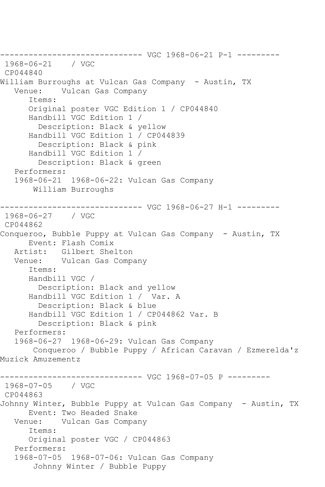------------------------------ VGC 1968-06-21 P-1 --------- 1968-06-21 / VGC CP044840 William Burroughs at Vulcan Gas Company - Austin, TX Vulcan Gas Company Items: Original poster VGC Edition 1 / CP044840 Handbill VGC Edition 1 / Description: Black & yellow Handbill VGC Edition 1 / CP044839 Description: Black & pink Handbill VGC Edition 1 / Description: Black & green Performers: 1968-06-21 1968-06-22: Vulcan Gas Company William Burroughs ------------------------------ VGC 1968-06-27 H-1 --------- 1968-06-27 / VGC CP044862 Conqueroo, Bubble Puppy at Vulcan Gas Company - Austin, TX Event: Flash Comix Artist: Gilbert Shelton Venue: Vulcan Gas Company Items: Handbill VGC / Description: Black and yellow Handbill VGC Edition 1 / Var. A Description: Black & blue Handbill VGC Edition 1 / CP044862 Var. B Description: Black & pink Performers: 1968-06-27 1968-06-29: Vulcan Gas Company Conqueroo / Bubble Puppy / African Caravan / Ezmerelda'z Muzick Amuzementz ------------------------------ VGC 1968-07-05 P --------- 1968-07-05 / VGC CP044863 Johnny Winter, Bubble Puppy at Vulcan Gas Company - Austin, TX Event: Two Headed Snake Venue: Vulcan Gas Company Items: Original poster VGC / CP044863 Performers: 1968-07-05 1968-07-06: Vulcan Gas Company Johnny Winter / Bubble Puppy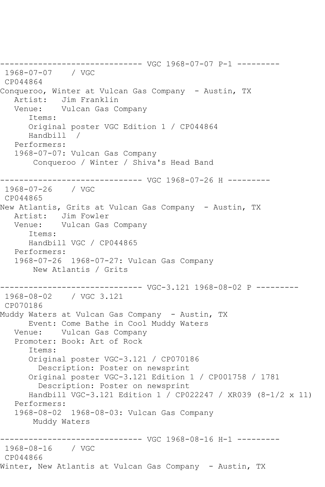------------------------------ VGC 1968-07-07 P-1 --------- 1968-07-07 / VGC CP044864 Conqueroo, Winter at Vulcan Gas Company - Austin, TX<br>Artist: Jim Franklin Artist: Jim Franklin<br>Venue: Vulcan Gas Co Vulcan Gas Company Items: Original poster VGC Edition 1 / CP044864 Handbill / Performers: 1968-07-07: Vulcan Gas Company Conqueroo / Winter / Shiva's Head Band ------------------------------ VGC 1968-07-26 H --------- 1968-07-26 / VGC CP044865 New Atlantis, Grits at Vulcan Gas Company - Austin, TX Artist: Jim Fowler Venue: Vulcan Gas Company Items: Handbill VGC / CP044865 Performers: 1968-07-26 1968-07-27: Vulcan Gas Company New Atlantis / Grits ------------------------------ VGC-3.121 1968-08-02 P --------- 1968-08-02 / VGC 3.121 CP070186 Muddy Waters at Vulcan Gas Company - Austin, TX Event: Come Bathe in Cool Muddy Waters Venue: Vulcan Gas Company Promoter: Book: Art of Rock Items: Original poster VGC-3.121 / CP070186 Description: Poster on newsprint Original poster VGC-3.121 Edition 1 / CP001758 / 1781 Description: Poster on newsprint Handbill VGC-3.121 Edition 1 / CP022247 / XR039 (8-1/2 x 11) Performers: 1968-08-02 1968-08-03: Vulcan Gas Company Muddy Waters ------------------------------ VGC 1968-08-16 H-1 --------- 1968-08-16 / VGC CP044866 Winter, New Atlantis at Vulcan Gas Company - Austin, TX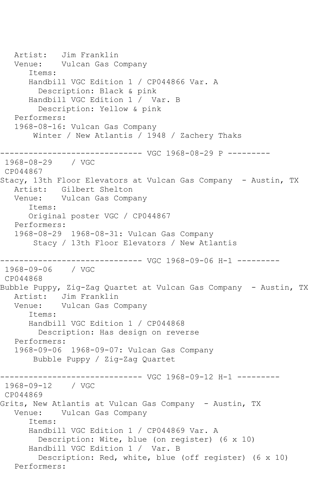Artist: Jim Franklin Venue: Vulcan Gas Company Items: Handbill VGC Edition 1 / CP044866 Var. A Description: Black & pink Handbill VGC Edition 1 / Var. B Description: Yellow & pink Performers: 1968-08-16: Vulcan Gas Company Winter / New Atlantis / 1948 / Zachery Thaks ------------------------------ VGC 1968-08-29 P --------- 1968-08-29 / VGC CP044867 Stacy, 13th Floor Elevators at Vulcan Gas Company - Austin, TX Artist: Gilbert Shelton Venue: Vulcan Gas Company Items: Original poster VGC / CP044867 Performers: 1968-08-29 1968-08-31: Vulcan Gas Company Stacy / 13th Floor Elevators / New Atlantis ------------------------------ VGC 1968-09-06 H-1 --------- 1968-09-06 / VGC CP044868 Bubble Puppy, Zig-Zag Quartet at Vulcan Gas Company - Austin, TX Artist: Jim Franklin Venue: Vulcan Gas Company Items: Handbill VGC Edition 1 / CP044868 Description: Has design on reverse Performers: 1968-09-06 1968-09-07: Vulcan Gas Company Bubble Puppy / Zig-Zag Quartet ------------------------------ VGC 1968-09-12 H-1 --------- 1968-09-12 / VGC CP044869 Grits, New Atlantis at Vulcan Gas Company - Austin, TX Venue: Vulcan Gas Company Items: Handbill VGC Edition 1 / CP044869 Var. A Description: Wite, blue (on register) (6 x 10) Handbill VGC Edition 1 / Var. B Description: Red, white, blue (off register) (6 x 10) Performers: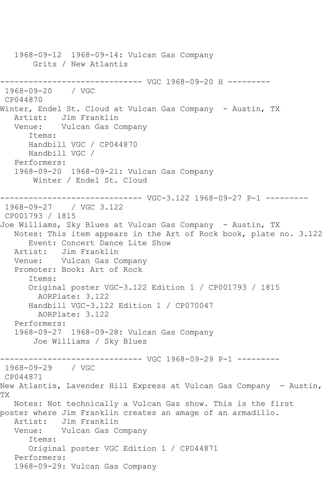1968-09-12 1968-09-14: Vulcan Gas Company Grits / New Atlantis ------------------------------ VGC 1968-09-20 H --------- 1968-09-20 / VGC CP044870 Winter, Endel St. Cloud at Vulcan Gas Company - Austin, TX Artist: Jim Franklin Venue: Vulcan Gas Company Items: Handbill VGC / CP044870 Handbill VGC / Performers: 1968-09-20 1968-09-21: Vulcan Gas Company Winter / Endel St. Cloud ------------------------------ VGC-3.122 1968-09-27 P-1 --------- 1968-09-27 / VGC 3.122 CP001793 / 1815 Joe Williams, Sky Blues at Vulcan Gas Company - Austin, TX Notes: This item appears in the Art of Rock book, plate no. 3.122 Event: Concert Dance Lite Show Artist: Jim Franklin Venue: Vulcan Gas Company Promoter: Book: Art of Rock Items: Original poster VGC-3.122 Edition 1 / CP001793 / 1815 AORPlate: 3.122 Handbill VGC-3.122 Edition 1 / CP070047 AORPlate: 3.122 Performers: 1968-09-27 1968-09-28: Vulcan Gas Company Joe Williams / Sky Blues ------------------------------ VGC 1968-09-29 P-1 --------- 1968-09-29 / VGC CP044871 New Atlantis, Lavender Hill Express at Vulcan Gas Company - Austin, TX Notes: Not technically a Vulcan Gas show. This is the first poster where Jim Franklin creates an amage of an armadillo. Artist: Jim Franklin Venue: Vulcan Gas Company Items: Original poster VGC Edition 1 / CP044871 Performers: 1968-09-29: Vulcan Gas Company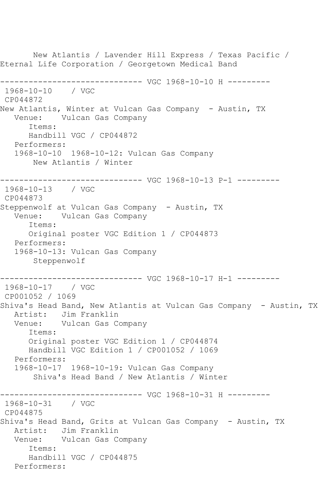New Atlantis / Lavender Hill Express / Texas Pacific / Eternal Life Corporation / Georgetown Medical Band ------------------------------ VGC 1968-10-10 H --------- 1968-10-10 / VGC CP044872 New Atlantis, Winter at Vulcan Gas Company - Austin, TX Venue: Vulcan Gas Company Items: Handbill VGC / CP044872 Performers: 1968-10-10 1968-10-12: Vulcan Gas Company New Atlantis / Winter ------------------------------ VGC 1968-10-13 P-1 --------- 1968-10-13 / VGC CP044873 Steppenwolf at Vulcan Gas Company - Austin, TX Venue: Vulcan Gas Company Items: Original poster VGC Edition 1 / CP044873 Performers: 1968-10-13: Vulcan Gas Company Steppenwolf ------------------------------ VGC 1968-10-17 H-1 --------- 1968-10-17 / VGC CP001052 / 1069 Shiva's Head Band, New Atlantis at Vulcan Gas Company - Austin, TX Artist: Jim Franklin Venue: Vulcan Gas Company Items: Original poster VGC Edition 1 / CP044874 Handbill VGC Edition 1 / CP001052 / 1069 Performers: 1968-10-17 1968-10-19: Vulcan Gas Company Shiva's Head Band / New Atlantis / Winter ------------------------------ VGC 1968-10-31 H --------- 1968-10-31 / VGC CP044875 Shiva's Head Band, Grits at Vulcan Gas Company - Austin, TX<br>Artist: Jim Franklin Jim Franklin Venue: Vulcan Gas Company Items: Handbill VGC / CP044875 Performers: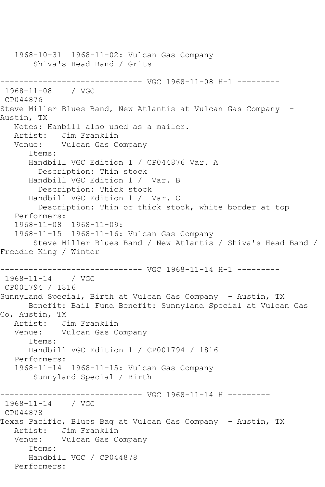1968-10-31 1968-11-02: Vulcan Gas Company Shiva's Head Band / Grits ------------------------------ VGC 1968-11-08 H-1 --------- 1968-11-08 / VGC CP044876 Steve Miller Blues Band, New Atlantis at Vulcan Gas Company -Austin, TX Notes: Hanbill also used as a mailer. Artist: Jim Franklin Venue: Vulcan Gas Company Items: Handbill VGC Edition 1 / CP044876 Var. A Description: Thin stock Handbill VGC Edition 1 / Var. B Description: Thick stock Handbill VGC Edition 1 / Var. C Description: Thin or thick stock, white border at top Performers: 1968-11-08 1968-11-09: 1968-11-15 1968-11-16: Vulcan Gas Company Steve Miller Blues Band / New Atlantis / Shiva's Head Band / Freddie King / Winter ------------------------------ VGC 1968-11-14 H-1 --------- 1968-11-14 / VGC CP001794 / 1816 Sunnyland Special, Birth at Vulcan Gas Company - Austin, TX Benefit: Bail Fund Benefit: Sunnyland Special at Vulcan Gas Co, Austin, TX Artist: Jim Franklin Venue: Vulcan Gas Company Items: Handbill VGC Edition 1 / CP001794 / 1816 Performers: 1968-11-14 1968-11-15: Vulcan Gas Company Sunnyland Special / Birth ------------------------------ VGC 1968-11-14 H --------- 1968-11-14 / VGC CP044878 Texas Pacific, Blues Bag at Vulcan Gas Company - Austin, TX Artist: Jim Franklin Venue: Vulcan Gas Company Items: Handbill VGC / CP044878 Performers: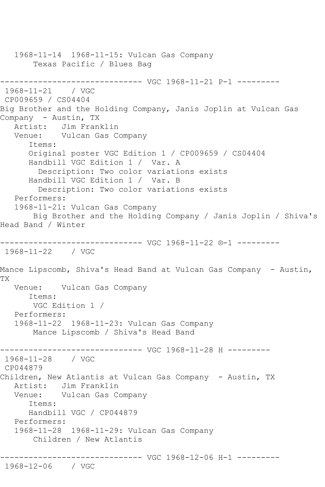1968-11-14 1968-11-15: Vulcan Gas Company Texas Pacific / Blues Bag ------------------------------ VGC 1968-11-21 P-1 --------- 1968-11-21 / VGC CP009659 / CS04404 Big Brother and the Holding Company, Janis Joplin at Vulcan Gas Company - Austin, TX Artist: Jim Franklin Venue: Vulcan Gas Company Items: Original poster VGC Edition 1 / CP009659 / CS04404 Handbill VGC Edition 1 / Var. A Description: Two color variations exists Handbill VGC Edition 1 / Var. B Description: Two color variations exists Performers: 1968-11-21: Vulcan Gas Company Big Brother and the Holding Company / Janis Joplin / Shiva's Head Band / Winter ------------------------------ VGC 1968-11-22 ®-1 --------- 1968-11-22 / VGC Mance Lipscomb, Shiva's Head Band at Vulcan Gas Company - Austin, TX Venue: Vulcan Gas Company Items: VGC Edition 1 / Performers: 1968-11-22 1968-11-23: Vulcan Gas Company Mance Lipscomb / Shiva's Head Band ------------------------------ VGC 1968-11-28 H --------- 1968-11-28 / VGC CP044879 Children, New Atlantis at Vulcan Gas Company - Austin, TX Artist: Jim Franklin Venue: Vulcan Gas Company Items: Handbill VGC / CP044879 Performers: 1968-11-28 1968-11-29: Vulcan Gas Company Children / New Atlantis ------------------------------ VGC 1968-12-06 H-1 --------- 1968-12-06 / VGC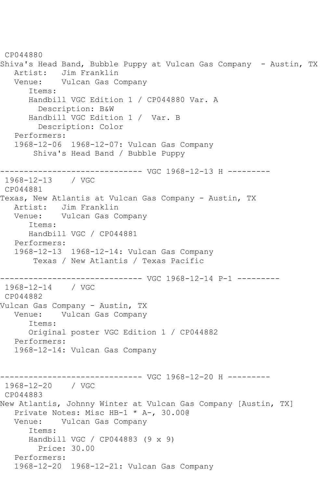CP044880 Shiva's Head Band, Bubble Puppy at Vulcan Gas Company - Austin, TX Artist: Jim Franklin Venue: Vulcan Gas Company Items: Handbill VGC Edition 1 / CP044880 Var. A Description: B&W Handbill VGC Edition 1 / Var. B Description: Color Performers: 1968-12-06 1968-12-07: Vulcan Gas Company Shiva's Head Band / Bubble Puppy ------------------------------ VGC 1968-12-13 H --------- 1968-12-13 / VGC CP044881 Texas, New Atlantis at Vulcan Gas Company - Austin, TX Artist: Jim Franklin Venue: Vulcan Gas Company Items: Handbill VGC / CP044881 Performers: 1968-12-13 1968-12-14: Vulcan Gas Company Texas / New Atlantis / Texas Pacific ------------------------------ VGC 1968-12-14 P-1 --------- 1968-12-14 / VGC CP044882 Vulcan Gas Company - Austin, TX Venue: Vulcan Gas Company Items: Original poster VGC Edition 1 / CP044882 Performers: 1968-12-14: Vulcan Gas Company ------------------------------ VGC 1968-12-20 H --------- 1968-12-20 / VGC CP044883 New Atlantis, Johnny Winter at Vulcan Gas Company [Austin, TX] Private Notes: Misc HB-1 \* A-, 30.00@ Venue: Vulcan Gas Company Items: Handbill VGC / CP044883 (9 x 9) Price: 30.00 Performers: 1968-12-20 1968-12-21: Vulcan Gas Company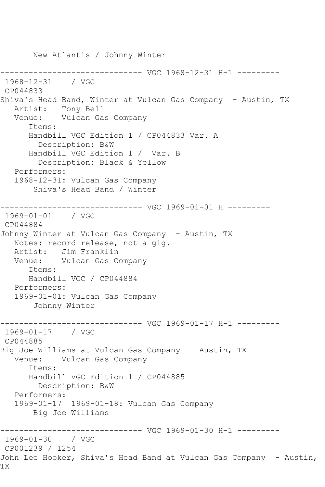New Atlantis / Johnny Winter ------------------------------ VGC 1968-12-31 H-1 --------- 1968-12-31 / VGC CP044833 Shiva's Head Band, Winter at Vulcan Gas Company - Austin, TX Artist: Tony Bell Venue: Vulcan Gas Company Items: Handbill VGC Edition 1 / CP044833 Var. A Description: B&W Handbill VGC Edition 1 / Var. B Description: Black & Yellow Performers: 1968-12-31: Vulcan Gas Company Shiva's Head Band / Winter ------------------------------ VGC 1969-01-01 H --------- 1969-01-01 / VGC CP044884 Johnny Winter at Vulcan Gas Company - Austin, TX Notes: record release, not a gig. Artist: Jim Franklin Venue: Vulcan Gas Company Items: Handbill VGC / CP044884 Performers: 1969-01-01: Vulcan Gas Company Johnny Winter ------------------------------ VGC 1969-01-17 H-1 --------- 1969-01-17 / VGC CP044885 Big Joe Williams at Vulcan Gas Company - Austin, TX Venue: Vulcan Gas Company Items: Handbill VGC Edition 1 / CP044885 Description: B&W Performers: 1969-01-17 1969-01-18: Vulcan Gas Company Big Joe Williams ------------------------------ VGC 1969-01-30 H-1 --------- 1969-01-30 / VGC CP001239 / 1254 John Lee Hooker, Shiva's Head Band at Vulcan Gas Company - Austin, TX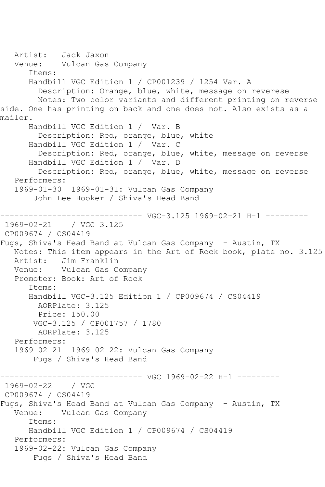Artist: Jack Jaxon Venue: Vulcan Gas Company Items: Handbill VGC Edition 1 / CP001239 / 1254 Var. A Description: Orange, blue, white, message on reverese Notes: Two color variants and different printing on reverse side. One has printing on back and one does not. Also exists as a mailer. Handbill VGC Edition 1 / Var. B Description: Red, orange, blue, white Handbill VGC Edition 1 / Var. C Description: Red, orange, blue, white, message on reverse Handbill VGC Edition 1 / Var. D Description: Red, orange, blue, white, message on reverse Performers: 1969-01-30 1969-01-31: Vulcan Gas Company John Lee Hooker / Shiva's Head Band  $------VGC-3.125 1969-02-21 H-1 ------$ 1969-02-21 / VGC 3.125 CP009674 / CS04419 Fugs, Shiva's Head Band at Vulcan Gas Company - Austin, TX Notes: This item appears in the Art of Rock book, plate no. 3.125 Artist: Jim Franklin Venue: Vulcan Gas Company Promoter: Book: Art of Rock Items: Handbill VGC-3.125 Edition 1 / CP009674 / CS04419 AORPlate: 3.125 Price: 150.00 VGC-3.125 / CP001757 / 1780 AORPlate: 3.125 Performers: 1969-02-21 1969-02-22: Vulcan Gas Company Fugs / Shiva's Head Band ------------------------------ VGC 1969-02-22 H-1 --------- 1969-02-22 / VGC CP009674 / CS04419 Fugs, Shiva's Head Band at Vulcan Gas Company - Austin, TX Venue: Vulcan Gas Company Items: Handbill VGC Edition 1 / CP009674 / CS04419 Performers: 1969-02-22: Vulcan Gas Company Fugs / Shiva's Head Band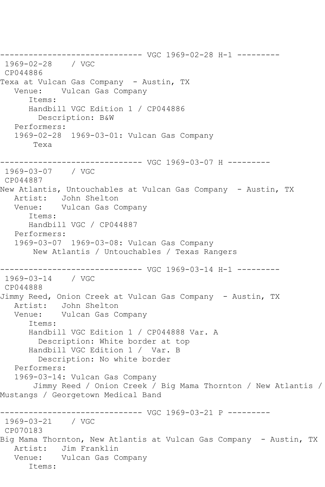------------------------------ VGC 1969-02-28 H-1 --------- 1969-02-28 / VGC CP044886 Texa at Vulcan Gas Company - Austin, TX Venue: Vulcan Gas Company Items: Handbill VGC Edition 1 / CP044886 Description: B&W Performers: 1969-02-28 1969-03-01: Vulcan Gas Company Texa ------------------------------ VGC 1969-03-07 H --------- 1969-03-07 / VGC CP044887 New Atlantis, Untouchables at Vulcan Gas Company - Austin, TX Artist: John Shelton Venue: Vulcan Gas Company Items: Handbill VGC / CP044887 Performers: 1969-03-07 1969-03-08: Vulcan Gas Company New Atlantis / Untouchables / Texas Rangers ------------------------------ VGC 1969-03-14 H-1 --------- 1969-03-14 / VGC CP044888 Jimmy Reed, Onion Creek at Vulcan Gas Company - Austin, TX Artist: John Shelton Venue: Vulcan Gas Company Items: Handbill VGC Edition 1 / CP044888 Var. A Description: White border at top Handbill VGC Edition 1 / Var. B Description: No white border Performers: 1969-03-14: Vulcan Gas Company Jimmy Reed / Onion Creek / Big Mama Thornton / New Atlantis / Mustangs / Georgetown Medical Band ------------------------------ VGC 1969-03-21 P --------- 1969-03-21 / VGC CP070183 Big Mama Thornton, New Atlantis at Vulcan Gas Company - Austin, TX Artist: Jim Franklin Venue: Vulcan Gas Company Items: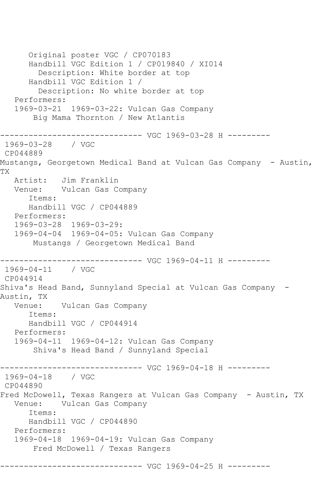Original poster VGC / CP070183 Handbill VGC Edition 1 / CP019840 / XI014 Description: White border at top Handbill VGC Edition 1 / Description: No white border at top Performers: 1969-03-21 1969-03-22: Vulcan Gas Company Big Mama Thornton / New Atlantis ------------------------------ VGC 1969-03-28 H --------- 1969-03-28 / VGC CP044889 Mustangs, Georgetown Medical Band at Vulcan Gas Company - Austin, TX Artist: Jim Franklin Venue: Vulcan Gas Company Items: Handbill VGC / CP044889 Performers: 1969-03-28 1969-03-29: 1969-04-04 1969-04-05: Vulcan Gas Company Mustangs / Georgetown Medical Band ------------------------------ VGC 1969-04-11 H --------- 1969-04-11 / VGC CP044914 Shiva's Head Band, Sunnyland Special at Vulcan Gas Company - Austin, TX Venue: Vulcan Gas Company Items: Handbill VGC / CP044914 Performers: 1969-04-11 1969-04-12: Vulcan Gas Company Shiva's Head Band / Sunnyland Special ------------------------------ VGC 1969-04-18 H --------- 1969-04-18 / VGC CP044890 Fred McDowell, Texas Rangers at Vulcan Gas Company - Austin, TX Venue: Vulcan Gas Company Items: Handbill VGC / CP044890 Performers: 1969-04-18 1969-04-19: Vulcan Gas Company Fred McDowell / Texas Rangers ------------------------------ VGC 1969-04-25 H ---------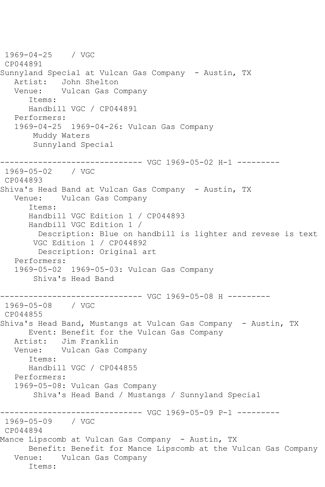1969-04-25 / VGC CP044891 Sunnyland Special at Vulcan Gas Company - Austin, TX Artist: John Shelton<br>Venue: Vulcan Gas C Vulcan Gas Company Items: Handbill VGC / CP044891 Performers: 1969-04-25 1969-04-26: Vulcan Gas Company Muddy Waters Sunnyland Special ------------------------------ VGC 1969-05-02 H-1 --------- 1969-05-02 / VGC CP044893 Shiva's Head Band at Vulcan Gas Company - Austin, TX Venue: Vulcan Gas Company Items: Handbill VGC Edition 1 / CP044893 Handbill VGC Edition 1 / Description: Blue on handbill is lighter and revese is text VGC Edition 1 / CP044892 Description: Original art Performers: 1969-05-02 1969-05-03: Vulcan Gas Company Shiva's Head Band ------------------------------ VGC 1969-05-08 H --------- 1969-05-08 / VGC CP044855 Shiva's Head Band, Mustangs at Vulcan Gas Company - Austin, TX Event: Benefit for the Vulcan Gas Company Artist: Jim Franklin<br>Venue: Vulcan Gas Co Vulcan Gas Company Items: Handbill VGC / CP044855 Performers: 1969-05-08: Vulcan Gas Company Shiva's Head Band / Mustangs / Sunnyland Special ------------------------------ VGC 1969-05-09 P-1 --------- 1969-05-09 / VGC CP044894 Mance Lipscomb at Vulcan Gas Company - Austin, TX Benefit: Benefit for Mance Lipscomb at the Vulcan Gas Company Venue: Vulcan Gas Company Items: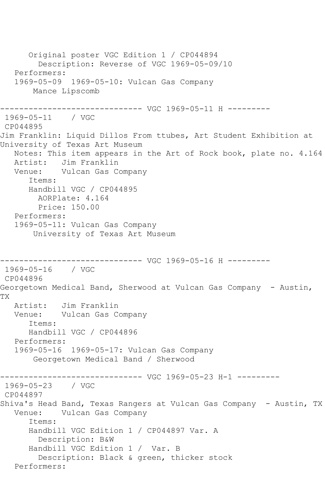Original poster VGC Edition 1 / CP044894 Description: Reverse of VGC 1969-05-09/10 Performers: 1969-05-09 1969-05-10: Vulcan Gas Company Mance Lipscomb ------------------------------ VGC 1969-05-11 H --------- 1969-05-11 / VGC CP044895 Jim Franklin: Liquid Dillos From ttubes, Art Student Exhibition at University of Texas Art Museum Notes: This item appears in the Art of Rock book, plate no. 4.164 Artist: Jim Franklin Venue: Vulcan Gas Company Items: Handbill VGC / CP044895 AORPlate: 4.164 Price: 150.00 Performers: 1969-05-11: Vulcan Gas Company University of Texas Art Museum ------------------------------ VGC 1969-05-16 H --------- 1969-05-16 / VGC CP044896 Georgetown Medical Band, Sherwood at Vulcan Gas Company - Austin, TX Artist: Jim Franklin Venue: Vulcan Gas Company Items: Handbill VGC / CP044896 Performers: 1969-05-16 1969-05-17: Vulcan Gas Company Georgetown Medical Band / Sherwood ------------------------------ VGC 1969-05-23 H-1 --------- 1969-05-23 / VGC CP044897 Shiva's Head Band, Texas Rangers at Vulcan Gas Company - Austin, TX Venue: Vulcan Gas Company Items: Handbill VGC Edition 1 / CP044897 Var. A Description: B&W Handbill VGC Edition 1 / Var. B Description: Black & green, thicker stock Performers: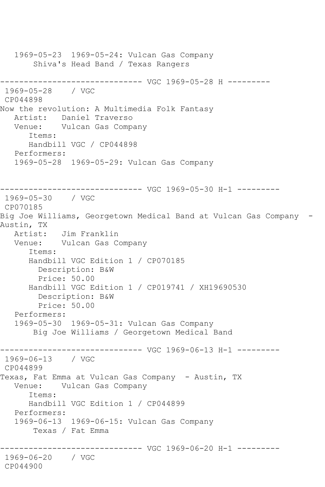1969-05-23 1969-05-24: Vulcan Gas Company Shiva's Head Band / Texas Rangers ------------------------------ VGC 1969-05-28 H --------- 1969-05-28 / VGC CP044898 Now the revolution: A Multimedia Folk Fantasy Artist: Daniel Traverso Venue: Vulcan Gas Company Items: Handbill VGC / CP044898 Performers: 1969-05-28 1969-05-29: Vulcan Gas Company ------------------------------ VGC 1969-05-30 H-1 --------- 1969-05-30 / VGC CP070185 Big Joe Williams, Georgetown Medical Band at Vulcan Gas Company - Austin, TX Artist: Jim Franklin Venue: Vulcan Gas Company Items: Handbill VGC Edition 1 / CP070185 Description: B&W Price: 50.00 Handbill VGC Edition 1 / CP019741 / XH19690530 Description: B&W Price: 50.00 Performers: 1969-05-30 1969-05-31: Vulcan Gas Company Big Joe Williams / Georgetown Medical Band ------------------------------ VGC 1969-06-13 H-1 --------- 1969-06-13 / VGC CP044899 Texas, Fat Emma at Vulcan Gas Company - Austin, TX Venue: Vulcan Gas Company Items: Handbill VGC Edition 1 / CP044899 Performers: 1969-06-13 1969-06-15: Vulcan Gas Company Texas / Fat Emma ------------------------------ VGC 1969-06-20 H-1 --------- 1969-06-20 / VGC CP044900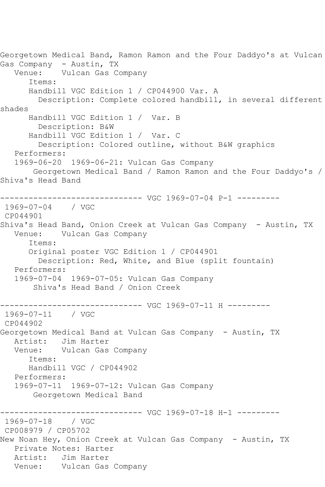Georgetown Medical Band, Ramon Ramon and the Four Daddyo's at Vulcan Gas Company - Austin, TX Venue: Vulcan Gas Company Items: Handbill VGC Edition 1 / CP044900 Var. A Description: Complete colored handbill, in several different shades Handbill VGC Edition 1 / Var. B Description: B&W Handbill VGC Edition 1 / Var. C Description: Colored outline, without B&W graphics Performers: 1969-06-20 1969-06-21: Vulcan Gas Company Georgetown Medical Band / Ramon Ramon and the Four Daddyo's / Shiva's Head Band ------------------------------ VGC 1969-07-04 P-1 --------- 1969-07-04 / VGC CP044901 Shiva's Head Band, Onion Creek at Vulcan Gas Company - Austin, TX Venue: Vulcan Gas Company Items: Original poster VGC Edition 1 / CP044901 Description: Red, White, and Blue (split fountain) Performers: 1969-07-04 1969-07-05: Vulcan Gas Company Shiva's Head Band / Onion Creek ------------------------------ VGC 1969-07-11 H --------- 1969-07-11 / VGC CP044902 Georgetown Medical Band at Vulcan Gas Company - Austin, TX Artist: Jim Harter<br>Venue: Vulcan Gas Vulcan Gas Company Items: Handbill VGC / CP044902 Performers: 1969-07-11 1969-07-12: Vulcan Gas Company Georgetown Medical Band ------------------------------ VGC 1969-07-18 H-1 --------- 1969-07-18 / VGC CP008979 / CP05702 New Noan Hey, Onion Creek at Vulcan Gas Company - Austin, TX Private Notes: Harter<br>Artist: Jim Harter Jim Harter Venue: Vulcan Gas Company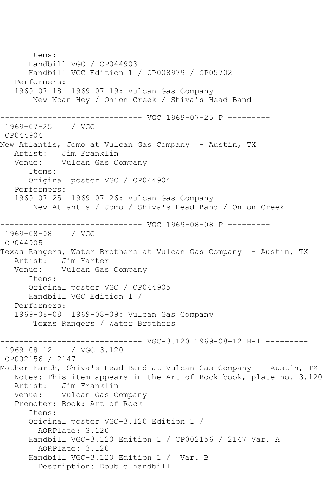Items: Handbill VGC / CP044903 Handbill VGC Edition 1 / CP008979 / CP05702 Performers: 1969-07-18 1969-07-19: Vulcan Gas Company New Noan Hey / Onion Creek / Shiva's Head Band ------------------------------ VGC 1969-07-25 P --------- 1969-07-25 / VGC CP044904 New Atlantis, Jomo at Vulcan Gas Company - Austin, TX Artist: Jim Franklin Venue: Vulcan Gas Company Items: Original poster VGC / CP044904 Performers: 1969-07-25 1969-07-26: Vulcan Gas Company New Atlantis / Jomo / Shiva's Head Band / Onion Creek ------------------------------ VGC 1969-08-08 P --------- 1969-08-08 / VGC CP044905 Texas Rangers, Water Brothers at Vulcan Gas Company - Austin, TX Artist: Jim Harter Venue: Vulcan Gas Company Items: Original poster VGC / CP044905 Handbill VGC Edition 1 / Performers: 1969-08-08 1969-08-09: Vulcan Gas Company Texas Rangers / Water Brothers ------------------------------ VGC-3.120 1969-08-12 H-1 --------- / VGC 3.120 CP002156 / 2147 Mother Earth, Shiva's Head Band at Vulcan Gas Company - Austin, TX Notes: This item appears in the Art of Rock book, plate no. 3.120 Artist: Jim Franklin Venue: Vulcan Gas Company Promoter: Book: Art of Rock Items: Original poster VGC-3.120 Edition 1 / AORPlate: 3.120 Handbill VGC-3.120 Edition 1 / CP002156 / 2147 Var. A AORPlate: 3.120 Handbill VGC-3.120 Edition 1 / Var. B Description: Double handbill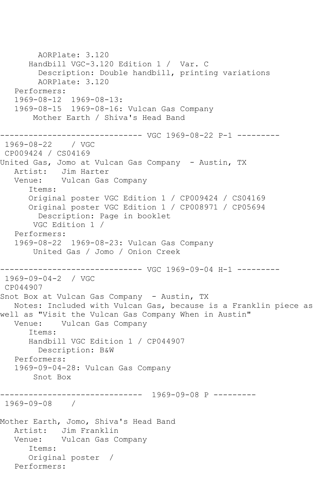AORPlate: 3.120 Handbill VGC-3.120 Edition 1 / Var. C Description: Double handbill, printing variations AORPlate: 3.120 Performers: 1969-08-12 1969-08-13: 1969-08-15 1969-08-16: Vulcan Gas Company Mother Earth / Shiva's Head Band ------------------------------ VGC 1969-08-22 P-1 --------- 1969-08-22 / VGC CP009424 / CS04169 United Gas, Jomo at Vulcan Gas Company - Austin, TX Artist: Jim Harter Venue: Vulcan Gas Company Items: Original poster VGC Edition 1 / CP009424 / CS04169 Original poster VGC Edition 1 / CP008971 / CP05694 Description: Page in booklet VGC Edition 1 / Performers: 1969-08-22 1969-08-23: Vulcan Gas Company United Gas / Jomo / Onion Creek ------------------------------ VGC 1969-09-04 H-1 --------- 1969-09-04-2 / VGC CP044907 Snot Box at Vulcan Gas Company - Austin, TX Notes: Included with Vulcan Gas, because is a Franklin piece as well as "Visit the Vulcan Gas Company When in Austin" Venue: Vulcan Gas Company Items: Handbill VGC Edition 1 / CP044907 Description: B&W Performers: 1969-09-04-28: Vulcan Gas Company Snot Box ------------------------------ 1969-09-08 P --------- 1969-09-08 / Mother Earth, Jomo, Shiva's Head Band Artist: Jim Franklin<br>Venue: Vulcan Gas Co Vulcan Gas Company Items: Original poster / Performers: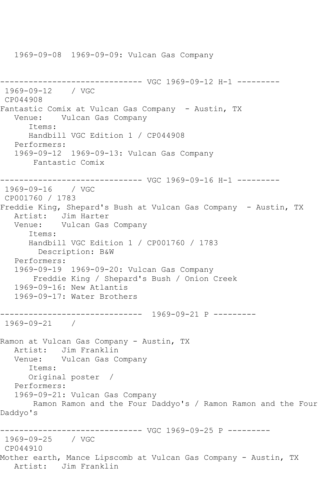1969-09-08 1969-09-09: Vulcan Gas Company

```
------------------------------ VGC 1969-09-12 H-1 ---------
1969-09-12 / VGC 
CP044908
Fantastic Comix at Vulcan Gas Company - Austin, TX
   Venue: Vulcan Gas Company
      Items:
      Handbill VGC Edition 1 / CP044908
   Performers:
   1969-09-12 1969-09-13: Vulcan Gas Company
       Fantastic Comix
------------------------------ VGC 1969-09-16 H-1 ---------
1969-09-16 / VGC 
CP001760 / 1783
Freddie King, Shepard's Bush at Vulcan Gas Company - Austin, TX
 Artist: Jim Harter
 Venue: Vulcan Gas Company
      Items:
      Handbill VGC Edition 1 / CP001760 / 1783
        Description: B&W
   Performers:
   1969-09-19 1969-09-20: Vulcan Gas Company
       Freddie King / Shepard's Bush / Onion Creek
   1969-09-16: New Atlantis
   1969-09-17: Water Brothers
------------------------------ 1969-09-21 P ---------
1969-09-21 / 
Ramon at Vulcan Gas Company - Austin, TX
   Artist: Jim Franklin
   Venue: Vulcan Gas Company
      Items:
      Original poster / 
   Performers:
   1969-09-21: Vulcan Gas Company
       Ramon Ramon and the Four Daddyo's / Ramon Ramon and the Four 
Daddyo's
------------------------------ VGC 1969-09-25 P ---------
1969-09-25 / VGC 
CP044910
Mother earth, Mance Lipscomb at Vulcan Gas Company - Austin, TX
   Artist: Jim Franklin
```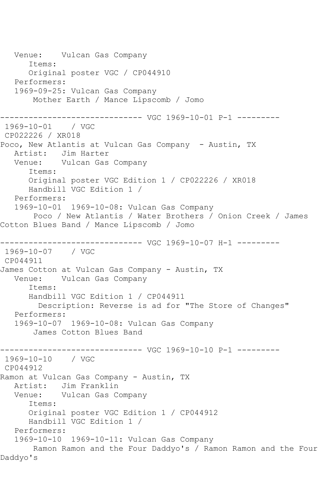Venue: Vulcan Gas Company Items: Original poster VGC / CP044910 Performers: 1969-09-25: Vulcan Gas Company Mother Earth / Mance Lipscomb / Jomo ------------------------------ VGC 1969-10-01 P-1 --------- 1969-10-01 / VGC CP022226 / XR018 Poco, New Atlantis at Vulcan Gas Company - Austin, TX Artist: Jim Harter Venue: Vulcan Gas Company Items: Original poster VGC Edition 1 / CP022226 / XR018 Handbill VGC Edition 1 / Performers: 1969-10-01 1969-10-08: Vulcan Gas Company Poco / New Atlantis / Water Brothers / Onion Creek / James Cotton Blues Band / Mance Lipscomb / Jomo ------------------------------ VGC 1969-10-07 H-1 --------- 1969-10-07 / VGC CP044911 James Cotton at Vulcan Gas Company - Austin, TX Venue: Vulcan Gas Company Items: Handbill VGC Edition 1 / CP044911 Description: Reverse is ad for "The Store of Changes" Performers: 1969-10-07 1969-10-08: Vulcan Gas Company James Cotton Blues Band ------------------------------ VGC 1969-10-10 P-1 --------- 1969-10-10 / VGC CP044912 Ramon at Vulcan Gas Company - Austin, TX Artist: Jim Franklin Venue: Vulcan Gas Company Items: Original poster VGC Edition 1 / CP044912 Handbill VGC Edition 1 / Performers: 1969-10-10 1969-10-11: Vulcan Gas Company Ramon Ramon and the Four Daddyo's / Ramon Ramon and the Four Daddyo's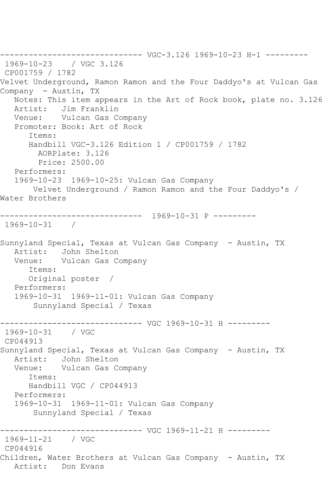------------------------------ VGC-3.126 1969-10-23 H-1 --------- 1969-10-23 / VGC 3.126 CP001759 / 1782 Velvet Underground, Ramon Ramon and the Four Daddyo's at Vulcan Gas Company - Austin, TX Notes: This item appears in the Art of Rock book, plate no. 3.126 Artist: Jim Franklin Venue: Vulcan Gas Company Promoter: Book: Art of Rock Items: Handbill VGC-3.126 Edition 1 / CP001759 / 1782 AORPlate: 3.126 Price: 2500.00 Performers: 1969-10-23 1969-10-25: Vulcan Gas Company Velvet Underground / Ramon Ramon and the Four Daddyo's / Water Brothers ------------------------------ 1969-10-31 P --------- 1969-10-31 / Sunnyland Special, Texas at Vulcan Gas Company - Austin, TX Artist: John Shelton Venue: Vulcan Gas Company Items: Original poster / Performers: 1969-10-31 1969-11-01: Vulcan Gas Company Sunnyland Special / Texas ------------------------------ VGC 1969-10-31 H --------- 1969-10-31 / VGC CP044913 Sunnyland Special, Texas at Vulcan Gas Company - Austin, TX Artist: John Shelton Venue: Vulcan Gas Company Items: Handbill VGC / CP044913 Performers: 1969-10-31 1969-11-01: Vulcan Gas Company Sunnyland Special / Texas ------------------------------ VGC 1969-11-21 H --------- 1969-11-21 / VGC CP044916 Children, Water Brothers at Vulcan Gas Company - Austin, TX Artist: Don Evans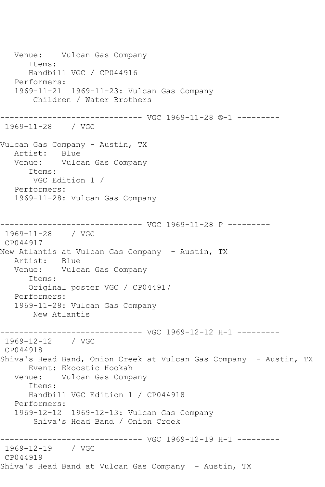Venue: Vulcan Gas Company Items: Handbill VGC / CP044916 Performers: 1969-11-21 1969-11-23: Vulcan Gas Company Children / Water Brothers ------------------------------ VGC 1969-11-28 ®-1 --------- 1969-11-28 / VGC Vulcan Gas Company - Austin, TX Artist: Blue Venue: Vulcan Gas Company Items: VGC Edition 1 / Performers: 1969-11-28: Vulcan Gas Company ------------------------------ VGC 1969-11-28 P --------- 1969-11-28 / VGC CP044917 New Atlantis at Vulcan Gas Company - Austin, TX Artist: Blue Venue: Vulcan Gas Company Items: Original poster VGC / CP044917 Performers: 1969-11-28: Vulcan Gas Company New Atlantis ------------------------------ VGC 1969-12-12 H-1 --------- 1969-12-12 / VGC CP044918 Shiva's Head Band, Onion Creek at Vulcan Gas Company - Austin, TX Event: Ekoostic Hookah Venue: Vulcan Gas Company Items: Handbill VGC Edition 1 / CP044918 Performers: 1969-12-12 1969-12-13: Vulcan Gas Company Shiva's Head Band / Onion Creek ------------------------------ VGC 1969-12-19 H-1 --------- 1969-12-19 / VGC CP044919 Shiva's Head Band at Vulcan Gas Company - Austin, TX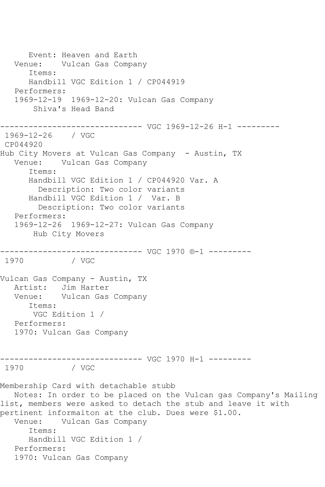Event: Heaven and Earth Venue: Vulcan Gas Company Items: Handbill VGC Edition 1 / CP044919 Performers: 1969-12-19 1969-12-20: Vulcan Gas Company Shiva's Head Band ------------------------------ VGC 1969-12-26 H-1 --------- 1969-12-26 / VGC CP044920 Hub City Movers at Vulcan Gas Company - Austin, TX Venue: Vulcan Gas Company Items: Handbill VGC Edition 1 / CP044920 Var. A Description: Two color variants Handbill VGC Edition 1 / Var. B Description: Two color variants Performers: 1969-12-26 1969-12-27: Vulcan Gas Company Hub City Movers ------------------------------ VGC 1970 ®-1 --------- / VGC Vulcan Gas Company - Austin, TX Artist: Jim Harter Venue: Vulcan Gas Company Items: VGC Edition 1 / Performers: 1970: Vulcan Gas Company ------------------------------ VGC 1970 H-1 --------- 1970 / VGC Membership Card with detachable stubb Notes: In order to be placed on the Vulcan gas Company's Mailing list, members were asked to detach the stub and leave it with pertinent informaiton at the club. Dues were \$1.00. Venue: Vulcan Gas Company Items: Handbill VGC Edition 1 / Performers: 1970: Vulcan Gas Company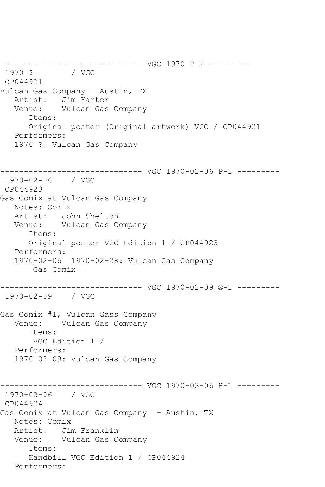------------------------------ VGC 1970 ? P --------- 1970 ? CP044921 Vulcan Gas Company - Austin, TX Artist: Jim Harter<br>Venue: Vulcan Gas Vulcan Gas Company Items: Original poster (Original artwork) VGC / CP044921 Performers: 1970 ?: Vulcan Gas Company ------------------------------ VGC 1970-02-06 P-1 --------- 1970-02-06 / VGC CP044923 Gas Comix at Vulcan Gas Company Notes: Comix Artist: John Shelton Venue: Vulcan Gas Company Items: Original poster VGC Edition 1 / CP044923 Performers: 1970-02-06 1970-02-28: Vulcan Gas Company Gas Comix ------------------------------ VGC 1970-02-09 ®-1 --------- 1970-02-09 / VGC Gas Comix #1, Vulcan Gass Company Venue: Vulcan Gas Company Items: VGC Edition 1 / Performers: 1970-02-09: Vulcan Gas Company ------------------------------ VGC 1970-03-06 H-1 --------- 1970-03-06 / VGC CP044924 Gas Comix at Vulcan Gas Company - Austin, TX Notes: Comix Artist: Jim Franklin Venue: Vulcan Gas Company Items: Handbill VGC Edition 1 / CP044924 Performers: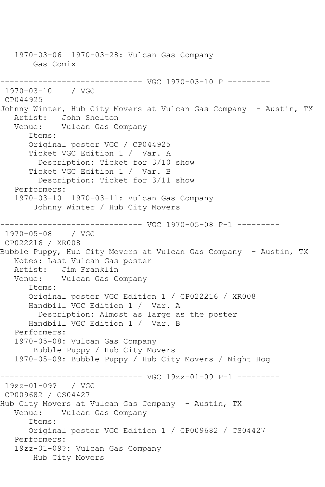1970-03-06 1970-03-28: Vulcan Gas Company Gas Comix ------------------------------ VGC 1970-03-10 P --------- 1970-03-10 / VGC CP044925 Johnny Winter, Hub City Movers at Vulcan Gas Company - Austin, TX Artist: John Shelton Venue: Vulcan Gas Company Items: Original poster VGC / CP044925 Ticket VGC Edition 1 / Var. A Description: Ticket for 3/10 show Ticket VGC Edition 1 / Var. B Description: Ticket for 3/11 show Performers: 1970-03-10 1970-03-11: Vulcan Gas Company Johnny Winter / Hub City Movers ------------------------------ VGC 1970-05-08 P-1 --------- 1970-05-08 / VGC CP022216 / XR008 Bubble Puppy, Hub City Movers at Vulcan Gas Company - Austin, TX Notes: Last Vulcan Gas poster Artist: Jim Franklin<br>Venue: Vulcan Gas C Vulcan Gas Company Items: Original poster VGC Edition 1 / CP022216 / XR008 Handbill VGC Edition 1 / Var. A Description: Almost as large as the poster Handbill VGC Edition 1 / Var. B Performers: 1970-05-08: Vulcan Gas Company Bubble Puppy / Hub City Movers 1970-05-09: Bubble Puppy / Hub City Movers / Night Hog ------------------------------ VGC 19zz-01-09 P-1 --------- 19zz-01-09? / VGC CP009682 / CS04427 Hub City Movers at Vulcan Gas Company - Austin, TX Venue: Vulcan Gas Company Items: Original poster VGC Edition 1 / CP009682 / CS04427 Performers: 19zz-01-09?: Vulcan Gas Company Hub City Movers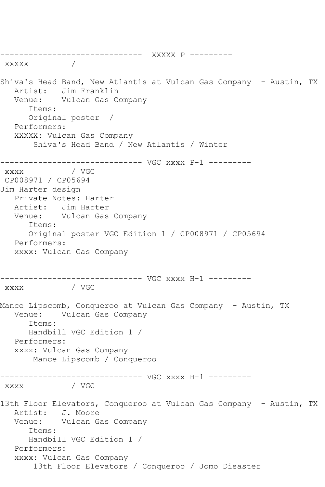------------------------------ XXXXX P --------- XXXXX / Shiva's Head Band, New Atlantis at Vulcan Gas Company - Austin, TX Artist: Jim Franklin Venue: Vulcan Gas Company Items: Original poster / Performers: XXXXX: Vulcan Gas Company Shiva's Head Band / New Atlantis / Winter ------------------------------ VGC xxxx P-1 ---------  $\overline{\text{XXX}}$ CP008971 / CP05694 Jim Harter design Private Notes: Harter Artist: Jim Harter Venue: Vulcan Gas Company Items: Original poster VGC Edition 1 / CP008971 / CP05694 Performers: xxxx: Vulcan Gas Company ------------------------------ VGC xxxx H-1 -------- xxxx / VGC Mance Lipscomb, Conqueroo at Vulcan Gas Company - Austin, TX Venue: Vulcan Gas Company Items: Handbill VGC Edition 1 / Performers: xxxx: Vulcan Gas Company Mance Lipscomb / Conqueroo ------------------------------ VGC xxxx H-1 -------- xxxx / VGC 13th Floor Elevators, Conqueroo at Vulcan Gas Company - Austin, TX Artist: J. Moore Venue: Vulcan Gas Company Items: Handbill VGC Edition 1 / Performers: xxxx: Vulcan Gas Company 13th Floor Elevators / Conqueroo / Jomo Disaster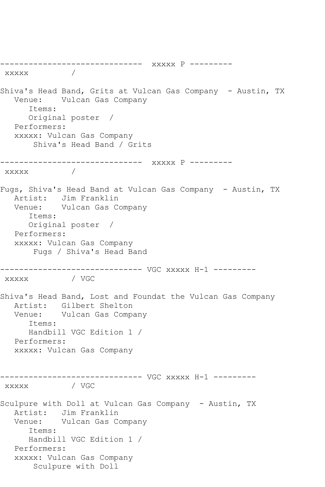------------------------------ xxxxx P -------- xxxxx / Shiva's Head Band, Grits at Vulcan Gas Company - Austin, TX Venue: Vulcan Gas Company Items: Original poster / Performers: xxxxx: Vulcan Gas Company Shiva's Head Band / Grits ------------------------------ xxxxx P -------- xxxxx / Fugs, Shiva's Head Band at Vulcan Gas Company - Austin, TX Artist: Jim Franklin Venue: Vulcan Gas Company Items: Original poster / Performers: xxxxx: Vulcan Gas Company Fugs / Shiva's Head Band ------------------------------ VGC xxxxx H-1 -------- xxxxx / VGC Shiva's Head Band, Lost and Foundat the Vulcan Gas Company Artist: Gilbert Shelton Venue: Vulcan Gas Company Items: Handbill VGC Edition 1 / Performers: xxxxx: Vulcan Gas Company ------------------------------ VGC xxxxx H-1 -------- xxxxx / VGC Sculpure with Doll at Vulcan Gas Company - Austin, TX Artist: Jim Franklin Venue: Vulcan Gas Company Items: Handbill VGC Edition 1 / Performers: xxxxx: Vulcan Gas Company Sculpure with Doll